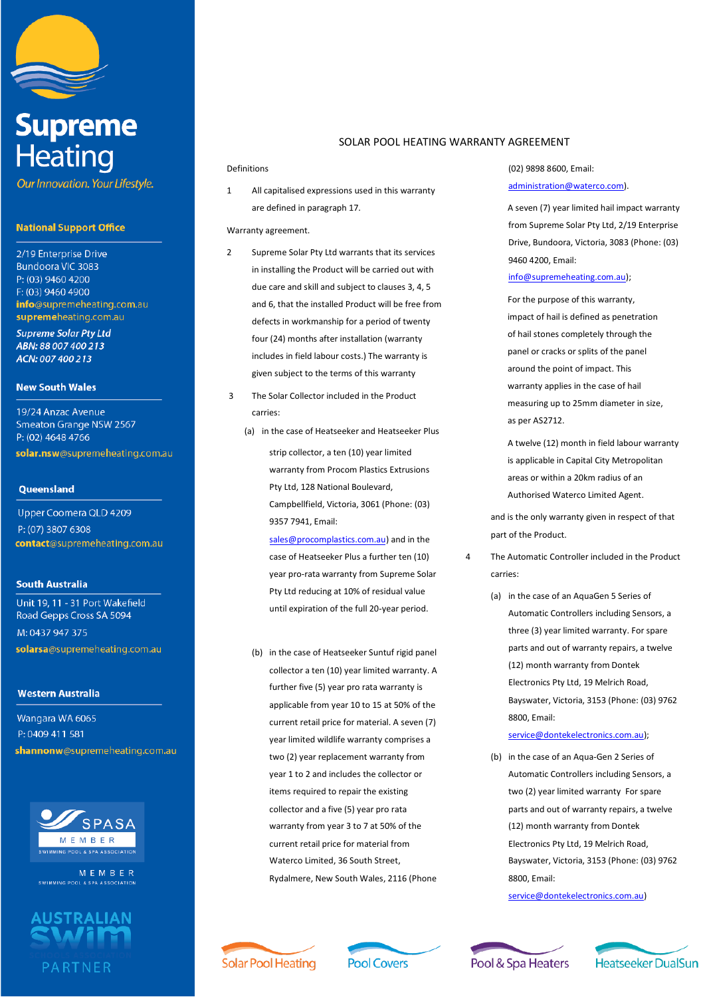

# **Supreme Heating**

Our Innovation. Your Lifestyle.

# **National Support Office**

2/19 Enterprise Drive Bundoora VIC 3083 P: (03) 9460 4200 F: (03) 9460 4900 info@supremeheating.com.au supremeheating.com.au

**Supreme Solar Ptv Ltd** ABN: 88 007 400 213 ACN: 007 400 213

# **New South Wales**

19/24 Anzac Avenue Smeaton Grange NSW 2567 P: (02) 4648 4766 solar.nsw@supremeheating.com.au

## Queensland

Upper Coomera QLD 4209 P: (07) 3807 6308 contact@supremeheating.com.au

#### **South Australia**

Unit 19, 11 - 31 Port Wakefield Road Gepps Cross SA 5094 M: 0437 947 375 solarsa@supremeheating.com.au

### **Western Australia**

Wangara WA 6065 P: 0409 411 581 shannonw@supremeheating.com.au



MEMBER



#### SOLAR POOL HEATING WARRANTY AGREEMENT

Definitions

1 All capitalised expressions used in this warranty are defined in paragraph 17.

Warranty agreement.

- 2 Supreme Solar Pty Ltd warrants that its services in installing the Product will be carried out with due care and skill and subject to clauses 3, 4, 5 and 6, that the installed Product will be free from defects in workmanship for a period of twenty four (24) months after installation (warranty includes in field labour costs.) The warranty is given subject to the terms of this warranty
- 3 The Solar Collector included in the Product carries:
	- (a) in the case of Heatseeker and Heatseeker Plus strip collector, a ten (10) year limited warranty from Procom Plastics Extrusions Pty Ltd, 128 National Boulevard, Campbellfield, Victoria, 3061 (Phone: (03) 9357 7941, Email:

[sales@procomplastics.com.au\)](mailto:sales@procomplastics.com.au) and in the case of Heatseeker Plus a further ten (10) year pro-rata warranty from Supreme Solar Pty Ltd reducing at 10% of residual value until expiration of the full 20-year period.

(b) in the case of Heatseeker Suntuf rigid panel collector a ten (10) year limited warranty. A further five (5) year pro rata warranty is applicable from year 10 to 15 at 50% of the current retail price for material. A seven (7) year limited wildlife warranty comprises a two (2) year replacement warranty from year 1 to 2 and includes the collector or items required to repair the existing collector and a five (5) year pro rata warranty from year 3 to 7 at 50% of the current retail price for material from Waterco Limited, 36 South Street, Rydalmere, New South Wales, 2116 (Phone

(02) 9898 8600, Email: [administration@waterco.com\)](mailto:administration@waterco.com).

A seven (7) year limited hail impact warranty from Supreme Solar Pty Ltd, 2/19 Enterprise Drive, Bundoora, Victoria, 3083 (Phone: (03) 9460 4200, Email:

## [info@supremeheating.com.au\)](mailto:info@supremeheating.com.au);

For the purpose of this warranty, impact of hail is defined as penetration of hail stones completely through the panel or cracks or splits of the panel around the point of impact. This warranty applies in the case of hail measuring up to 25mm diameter in size, as per AS2712.

A twelve (12) month in field labour warranty is applicable in Capital City Metropolitan areas or within a 20km radius of an Authorised Waterco Limited Agent.

and is the only warranty given in respect of that part of the Product.

- 4 The Automatic Controller included in the Product carries:
	- (a) in the case of an AquaGen 5 Series of Automatic Controllers including Sensors, a three (3) year limited warranty. For spare parts and out of warranty repairs, a twelve (12) month warranty from Dontek Electronics Pty Ltd, 19 Melrich Road, Bayswater, Victoria, 3153 (Phone: (03) 9762 8800, Email:

## [service@dontekelectronics.com.au\)](mailto:service@dontekelectronics.com.au);

(b) in the case of an Aqua-Gen 2 Series of Automatic Controllers including Sensors, a two (2) year limited warranty For spare parts and out of warranty repairs, a twelve (12) month warranty from Dontek Electronics Pty Ltd, 19 Melrich Road, Bayswater, Victoria, 3153 (Phone: (03) 9762 8800, Email:

[service@dontekelectronics.com.au\)](mailto:service@dontekelectronics.com.au)







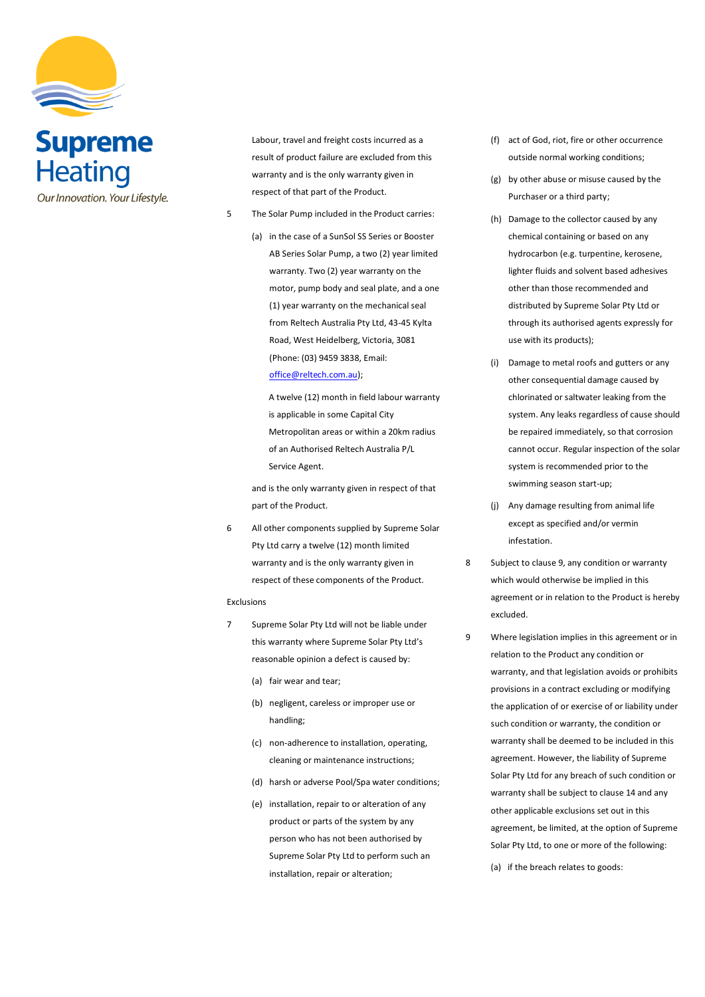

Labour, travel and freight costs incurred as a result of product failure are excluded from this warranty and is the only warranty given in respect of that part of the Product.

- 5 The Solar Pump included in the Product carries:
	- (a) in the case of a SunSol SS Series or Booster AB Series Solar Pump, a two (2) year limited warranty. Two (2) year warranty on the motor, pump body and seal plate, and a one (1) year warranty on the mechanical seal from Reltech Australia Pty Ltd, 43-45 Kylta Road, West Heidelberg, Victoria, 3081 (Phone: (03) 9459 3838, Email: [office@reltech.com.au\)](mailto:office@reltech.com.au);

A twelve (12) month in field labour warranty is applicable in some Capital City Metropolitan areas or within a 20km radius of an Authorised Reltech Australia P/L Service Agent.

and is the only warranty given in respect of that part of the Product.

6 All other components supplied by Supreme Solar Pty Ltd carry a twelve (12) month limited warranty and is the only warranty given in respect of these components of the Product.

#### Exclusions

- 7 Supreme Solar Pty Ltd will not be liable under this warranty where Supreme Solar Pty Ltd's reasonable opinion a defect is caused by:
	- (a) fair wear and tear;
	- (b) negligent, careless or improper use or handling;
	- (c) non-adherence to installation, operating, cleaning or maintenance instructions;
	- (d) harsh or adverse Pool/Spa water conditions;
	- (e) installation, repair to or alteration of any product or parts of the system by any person who has not been authorised by Supreme Solar Pty Ltd to perform such an installation, repair or alteration;
- (f) act of God, riot, fire or other occurrence outside normal working conditions;
- (g) by other abuse or misuse caused by the Purchaser or a third party;
- (h) Damage to the collector caused by any chemical containing or based on any hydrocarbon (e.g. turpentine, kerosene, lighter fluids and solvent based adhesives other than those recommended and distributed by Supreme Solar Pty Ltd or through its authorised agents expressly for use with its products);
- (i) Damage to metal roofs and gutters or any other consequential damage caused by chlorinated or saltwater leaking from the system. Any leaks regardless of cause should be repaired immediately, so that corrosion cannot occur. Regular inspection of the solar system is recommended prior to the swimming season start-up;
- (j) Any damage resulting from animal life except as specified and/or vermin infestation.
- 8 Subject to clause 9, any condition or warranty which would otherwise be implied in this agreement or in relation to the Product is hereby excluded.
- 9 Where legislation implies in this agreement or in relation to the Product any condition or warranty, and that legislation avoids or prohibits provisions in a contract excluding or modifying the application of or exercise of or liability under such condition or warranty, the condition or warranty shall be deemed to be included in this agreement. However, the liability of Supreme Solar Pty Ltd for any breach of such condition or warranty shall be subject to clause 14 and any other applicable exclusions set out in this agreement, be limited, at the option of Supreme Solar Pty Ltd, to one or more of the following: (a) if the breach relates to goods: